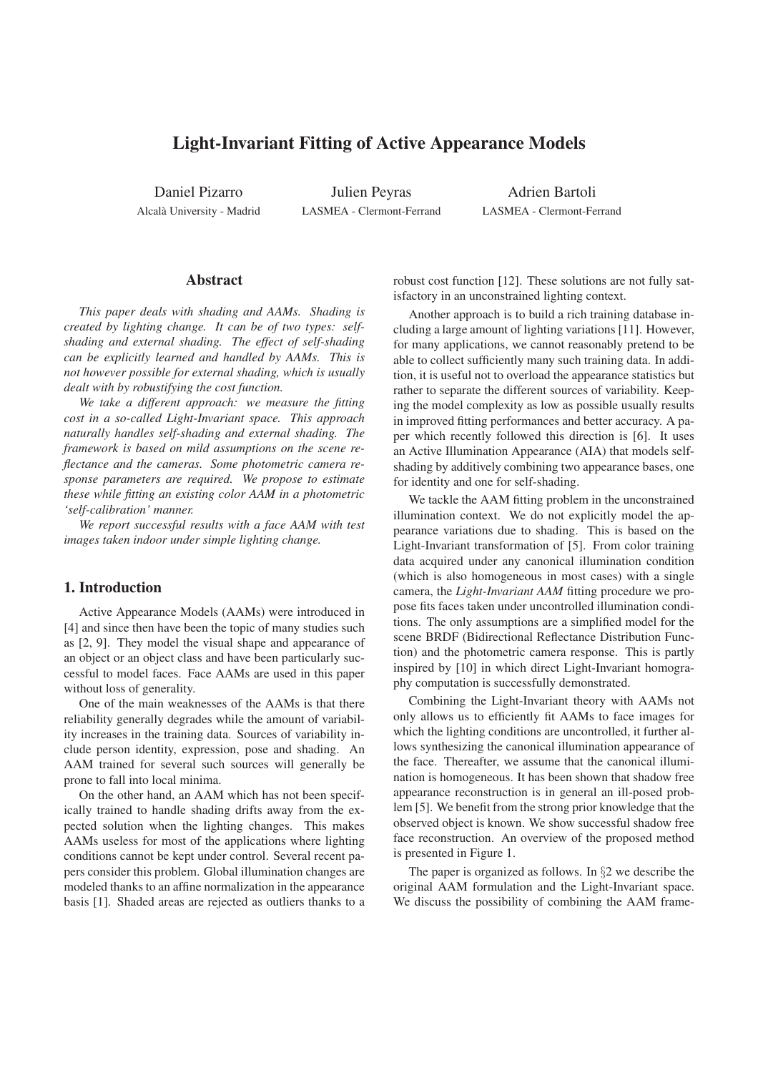# **Light-Invariant Fitting of Active Appearance Models**

Daniel Pizarro Alcala University - Madrid `

Julien Peyras LASMEA - Clermont-Ferrand

Adrien Bartoli LASMEA - Clermont-Ferrand

# **Abstract**

*This paper deals with shading and AAMs. Shading is created by lighting change. It can be of two types: selfshading and external shading. The effect of self-shading can be explicitly learned and handled by AAMs. This is not however possible for external shading, which is usually dealt with by robustifying the cost function.*

*We take a different approach: we measure the fitting cost in a so-called Light-Invariant space. This approach naturally handles self-shading and external shading. The framework is based on mild assumptions on the scene reflectance and the cameras. Some photometric camera response parameters are required. We propose to estimate these while fitting an existing color AAM in a photometric 'self-calibration' manner.*

*We report successful results with a face AAM with test images taken indoor under simple lighting change.*

### **1. Introduction**

Active Appearance Models (AAMs) were introduced in [4] and since then have been the topic of many studies such as [2, 9]. They model the visual shape and appearance of an object or an object class and have been particularly successful to model faces. Face AAMs are used in this paper without loss of generality.

One of the main weaknesses of the AAMs is that there reliability generally degrades while the amount of variability increases in the training data. Sources of variability include person identity, expression, pose and shading. An AAM trained for several such sources will generally be prone to fall into local minima.

On the other hand, an AAM which has not been specifically trained to handle shading drifts away from the expected solution when the lighting changes. This makes AAMs useless for most of the applications where lighting conditions cannot be kept under control. Several recent papers consider this problem. Global illumination changes are modeled thanks to an affine normalization in the appearance basis [1]. Shaded areas are rejected as outliers thanks to a robust cost function [12]. These solutions are not fully satisfactory in an unconstrained lighting context.

Another approach is to build a rich training database including a large amount of lighting variations [11]. However, for many applications, we cannot reasonably pretend to be able to collect sufficiently many such training data. In addition, it is useful not to overload the appearance statistics but rather to separate the different sources of variability. Keeping the model complexity as low as possible usually results in improved fitting performances and better accuracy. A paper which recently followed this direction is [6]. It uses an Active Illumination Appearance (AIA) that models selfshading by additively combining two appearance bases, one for identity and one for self-shading.

We tackle the AAM fitting problem in the unconstrained illumination context. We do not explicitly model the appearance variations due to shading. This is based on the Light-Invariant transformation of [5]. From color training data acquired under any canonical illumination condition (which is also homogeneous in most cases) with a single camera, the *Light-Invariant AAM* fitting procedure we propose fits faces taken under uncontrolled illumination conditions. The only assumptions are a simplified model for the scene BRDF (Bidirectional Reflectance Distribution Function) and the photometric camera response. This is partly inspired by [10] in which direct Light-Invariant homography computation is successfully demonstrated.

Combining the Light-Invariant theory with AAMs not only allows us to efficiently fit AAMs to face images for which the lighting conditions are uncontrolled, it further allows synthesizing the canonical illumination appearance of the face. Thereafter, we assume that the canonical illumination is homogeneous. It has been shown that shadow free appearance reconstruction is in general an ill-posed problem [5]. We benefit from the strong prior knowledge that the observed object is known. We show successful shadow free face reconstruction. An overview of the proposed method is presented in Figure 1.

The paper is organized as follows. In §2 we describe the original AAM formulation and the Light-Invariant space. We discuss the possibility of combining the AAM frame-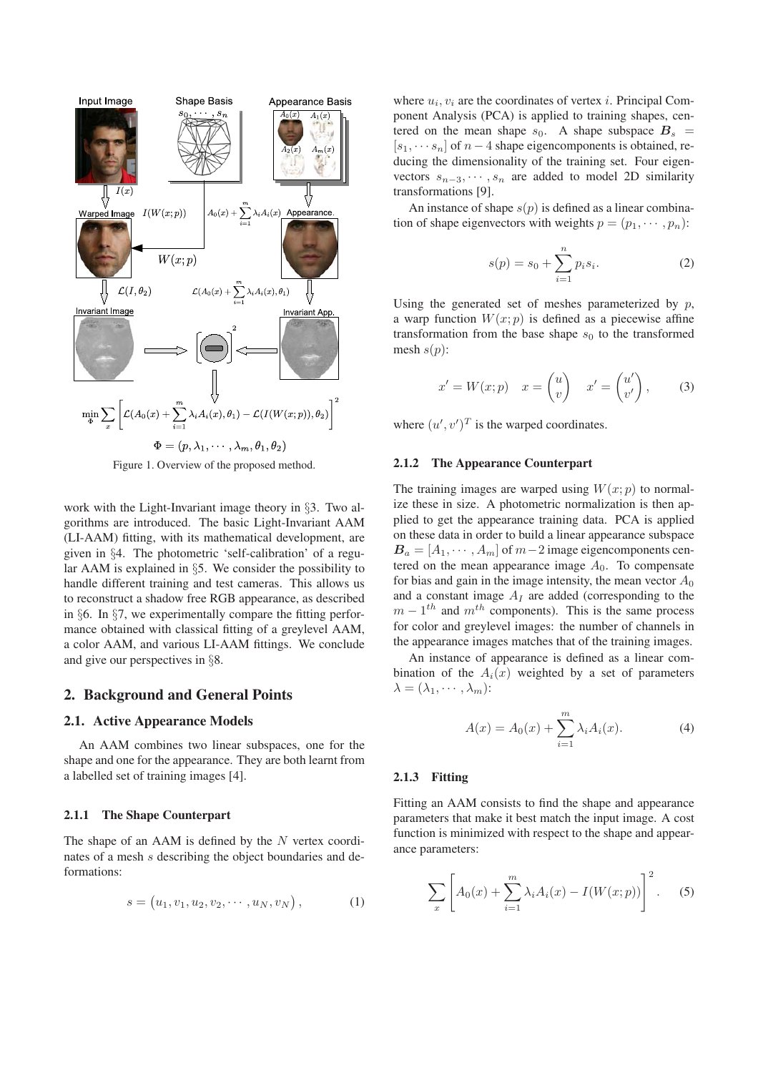

Figure 1. Overview of the proposed method.

work with the Light-Invariant image theory in §3. Two algorithms are introduced. The basic Light-Invariant AAM (LI-AAM) fitting, with its mathematical development, are given in §4. The photometric 'self-calibration' of a regular AAM is explained in §5. We consider the possibility to handle different training and test cameras. This allows us to reconstruct a shadow free RGB appearance, as described in §6. In §7, we experimentally compare the fitting performance obtained with classical fitting of a greylevel AAM, a color AAM, and various LI-AAM fittings. We conclude and give our perspectives in §8.

# **2. Background and General Points**

#### **2.1. Active Appearance Models**

An AAM combines two linear subspaces, one for the shape and one for the appearance. They are both learnt from a labelled set of training images [4].

### **2.1.1 The Shape Counterpart**

The shape of an AAM is defined by the  $N$  vertex coordinates of a mesh s describing the object boundaries and deformations:

$$
s = (u_1, v_1, u_2, v_2, \cdots, u_N, v_N), \qquad (1)
$$

where  $u_i, v_i$  are the coordinates of vertex *i*. Principal Component Analysis (PCA) is applied to training shapes, centered on the mean shape  $s_0$ . A shape subspace  $B_s$  =  $[s_1, \cdots, s_n]$  of  $n-4$  shape eigencomponents is obtained, reducing the dimensionality of the training set. Four eigenvectors  $s_{n-3}, \dots, s_n$  are added to model 2D similarity transformations [9].

An instance of shape  $s(p)$  is defined as a linear combination of shape eigenvectors with weights  $p = (p_1, \dots, p_n)$ :

$$
s(p) = s_0 + \sum_{i=1}^{n} p_i s_i.
$$
 (2)

Using the generated set of meshes parameterized by  $p$ , a warp function  $W(x; p)$  is defined as a piecewise affine transformation from the base shape  $s_0$  to the transformed mesh  $s(p)$ :

$$
x' = W(x; p) \quad x = \begin{pmatrix} u \\ v \end{pmatrix} \quad x' = \begin{pmatrix} u' \\ v' \end{pmatrix}, \tag{3}
$$

where  $(u', v')^T$  is the warped coordinates.

#### **2.1.2 The Appearance Counterpart**

The training images are warped using  $W(x; p)$  to normalize these in size. A photometric normalization is then applied to get the appearance training data. PCA is applied on these data in order to build a linear appearance subspace  $B_a = [A_1, \cdots, A_m]$  of  $m-2$  image eigencomponents centered on the mean appearance image  $A_0$ . To compensate for bias and gain in the image intensity, the mean vector  $A_0$ and a constant image  $A_I$  are added (corresponding to the  $m - 1$ <sup>th</sup> and  $m$ <sup>th</sup> components). This is the same process for color and greylevel images: the number of channels in the appearance images matches that of the training images.

An instance of appearance is defined as a linear combination of the  $A_i(x)$  weighted by a set of parameters  $\lambda = (\lambda_1, \cdots, \lambda_m)$ :

$$
A(x) = A_0(x) + \sum_{i=1}^{m} \lambda_i A_i(x).
$$
 (4)

#### **2.1.3 Fitting**

Fitting an AAM consists to find the shape and appearance parameters that make it best match the input image. A cost function is minimized with respect to the shape and appearance parameters:

$$
\sum_{x} \left[ A_0(x) + \sum_{i=1}^{m} \lambda_i A_i(x) - I(W(x; p)) \right]^2.
$$
 (5)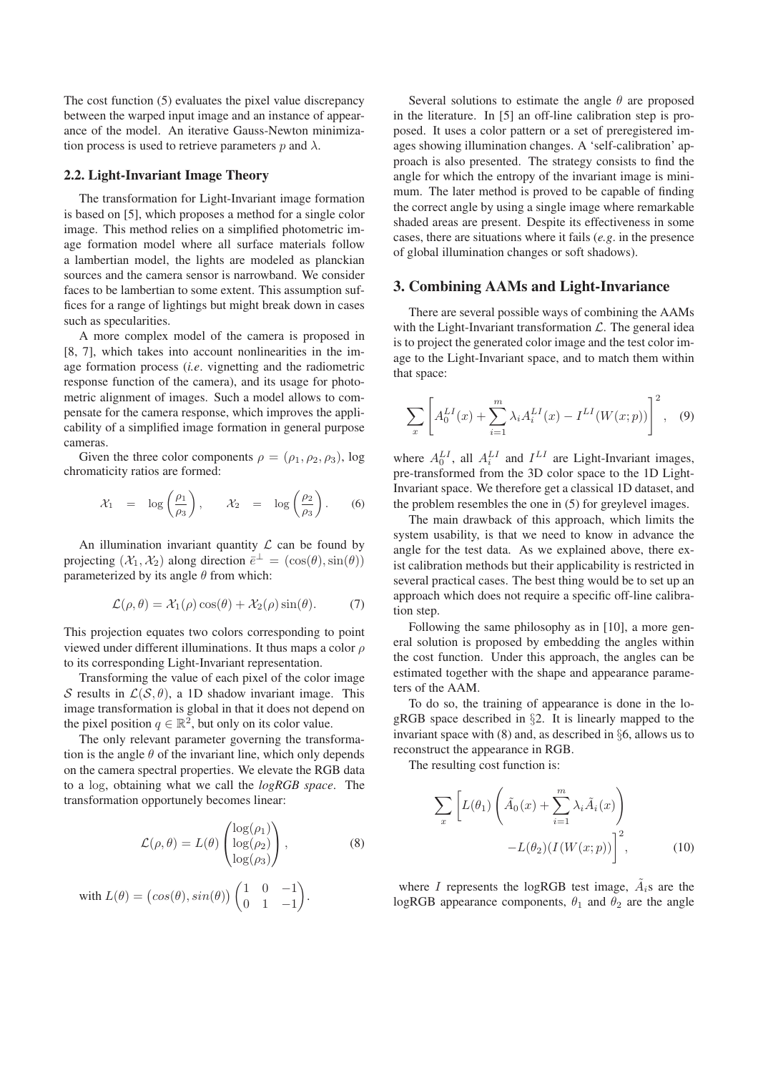The cost function (5) evaluates the pixel value discrepancy between the warped input image and an instance of appearance of the model. An iterative Gauss-Newton minimization process is used to retrieve parameters p and  $\lambda$ .

# **2.2. Light-Invariant Image Theory**

The transformation for Light-Invariant image formation is based on [5], which proposes a method for a single color image. This method relies on a simplified photometric image formation model where all surface materials follow a lambertian model, the lights are modeled as planckian sources and the camera sensor is narrowband. We consider faces to be lambertian to some extent. This assumption suffices for a range of lightings but might break down in cases such as specularities.

A more complex model of the camera is proposed in [8, 7], which takes into account nonlinearities in the image formation process (*i.e*. vignetting and the radiometric response function of the camera), and its usage for photometric alignment of images. Such a model allows to compensate for the camera response, which improves the applicability of a simplified image formation in general purpose cameras.

Given the three color components  $\rho = (\rho_1, \rho_2, \rho_3)$ , log chromaticity ratios are formed:

$$
\mathcal{X}_1 = \log\left(\frac{\rho_1}{\rho_3}\right), \qquad \mathcal{X}_2 = \log\left(\frac{\rho_2}{\rho_3}\right). \tag{6}
$$

An illumination invariant quantity  $\mathcal L$  can be found by projecting  $(\mathcal{X}_1, \mathcal{X}_2)$  along direction  $\overline{e}^{\perp} = (\cos(\theta), \sin(\theta))$ parameterized by its angle  $\theta$  from which:

$$
\mathcal{L}(\rho,\theta) = \mathcal{X}_1(\rho)\cos(\theta) + \mathcal{X}_2(\rho)\sin(\theta). \tag{7}
$$

This projection equates two colors corresponding to point viewed under different illuminations. It thus maps a color  $\rho$ to its corresponding Light-Invariant representation.

Transforming the value of each pixel of the color image S results in  $\mathcal{L}(S,\theta)$ , a 1D shadow invariant image. This image transformation is global in that it does not depend on the pixel position  $q \in \mathbb{R}^2$ , but only on its color value.

The only relevant parameter governing the transformation is the angle  $\theta$  of the invariant line, which only depends on the camera spectral properties. We elevate the RGB data to a log, obtaining what we call the *logRGB space*. The transformation opportunely becomes linear:

$$
\mathcal{L}(\rho,\theta) = L(\theta) \begin{pmatrix} \log(\rho_1) \\ \log(\rho_2) \\ \log(\rho_3) \end{pmatrix},
$$
 (8)

with 
$$
L(\theta) = (\cos(\theta), \sin(\theta)) \begin{pmatrix} 1 & 0 & -1 \\ 0 & 1 & -1 \end{pmatrix}
$$
.

Several solutions to estimate the angle  $\theta$  are proposed in the literature. In [5] an off-line calibration step is proposed. It uses a color pattern or a set of preregistered images showing illumination changes. A 'self-calibration' approach is also presented. The strategy consists to find the angle for which the entropy of the invariant image is minimum. The later method is proved to be capable of finding the correct angle by using a single image where remarkable shaded areas are present. Despite its effectiveness in some cases, there are situations where it fails (*e.g*. in the presence of global illumination changes or soft shadows).

### **3. Combining AAMs and Light-Invariance**

There are several possible ways of combining the AAMs with the Light-Invariant transformation  $\mathcal{L}$ . The general idea is to project the generated color image and the test color image to the Light-Invariant space, and to match them within that space:

$$
\sum_{x} \left[ A_0^{LI}(x) + \sum_{i=1}^{m} \lambda_i A_i^{LI}(x) - I^{LI}(W(x; p)) \right]^2, \quad (9)
$$

where  $A_0^{LI}$ , all  $A_i^{LI}$  and  $I^{LI}$  are Light-Invariant images, pre-transformed from the 3D color space to the 1D Light-Invariant space. We therefore get a classical 1D dataset, and the problem resembles the one in (5) for greylevel images.

The main drawback of this approach, which limits the system usability, is that we need to know in advance the angle for the test data. As we explained above, there exist calibration methods but their applicability is restricted in several practical cases. The best thing would be to set up an approach which does not require a specific off-line calibration step.

Following the same philosophy as in [10], a more general solution is proposed by embedding the angles within the cost function. Under this approach, the angles can be estimated together with the shape and appearance parameters of the AAM.

To do so, the training of appearance is done in the logRGB space described in §2. It is linearly mapped to the invariant space with (8) and, as described in §6, allows us to reconstruct the appearance in RGB.

The resulting cost function is:

$$
\sum_{x} \left[ L(\theta_1) \left( \tilde{A}_0(x) + \sum_{i=1}^{m} \lambda_i \tilde{A}_i(x) \right) -L(\theta_2) (I(W(x; p)) \right]^2, \tag{10}
$$

where I represents the logRGB test image,  $\tilde{A}_i$ s are the logRGB appearance components,  $\theta_1$  and  $\theta_2$  are the angle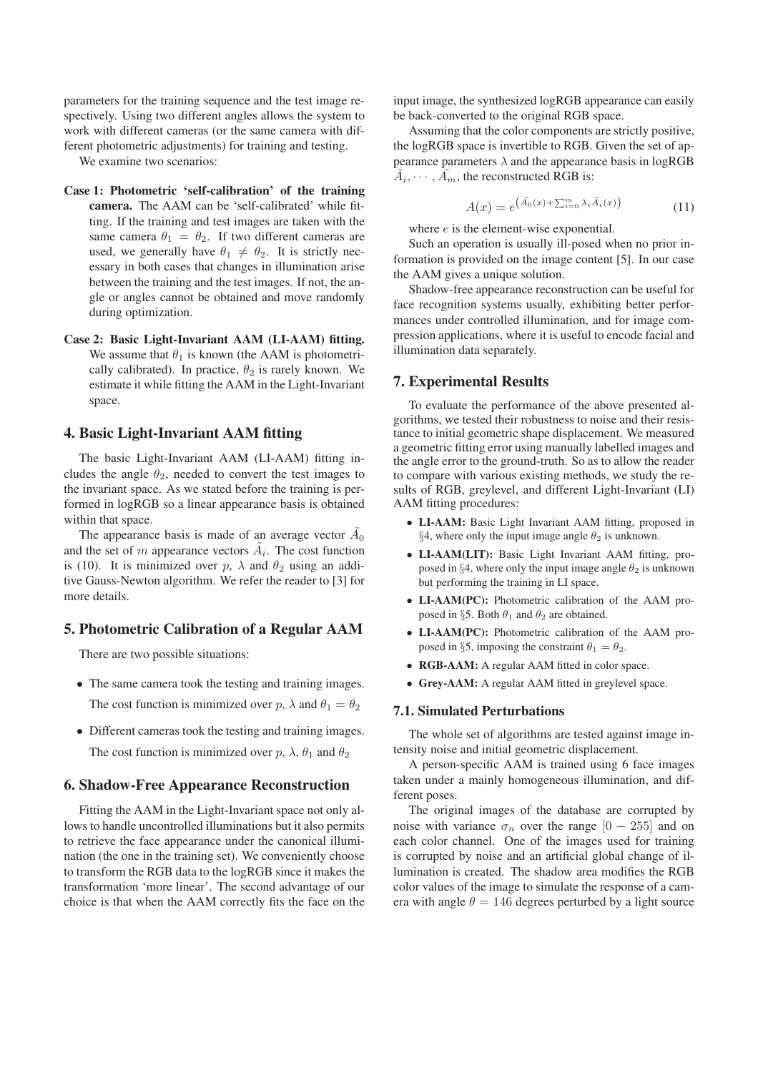parameters for the training sequence and the test image respectively. Using two different angles allows the system to work with different cameras (or the same camera with different photometric adjustments) for training and testing.

We examine two scenarios:

- **Case 1: Photometric 'self-calibration' of the training camera.** The AAM can be 'self-calibrated' while fitting. If the training and test images are taken with the same camera  $\theta_1 = \theta_2$ . If two different cameras are used, we generally have  $\theta_1 \neq \theta_2$ . It is strictly necessary in both cases that changes in illumination arise between the training and the test images. If not, the angle or angles cannot be obtained and move randomly during optimization.
- **Case 2: Basic Light-Invariant AAM (LI-AAM) fitting.** We assume that  $\theta_1$  is known (the AAM is photometrically calibrated). In practice,  $\theta_2$  is rarely known. We estimate it while fitting the AAM in the Light-Invariant space.

## **4. Basic Light-Invariant AAM fitting**

The basic Light-Invariant AAM (LI-AAM) fitting includes the angle  $\theta_2$ , needed to convert the test images to the invariant space. As we stated before the training is performed in logRGB so a linear appearance basis is obtained within that space.

The appearance basis is made of an average vector  $\tilde{A}_0$ and the set of m appearance vectors  $\tilde{A}_i$ . The cost function is (10). It is minimized over p,  $\lambda$  and  $\theta_2$  using an additive Gauss-Newton algorithm. We refer the reader to [3] for more details.

### **5. Photometric Calibration of a Regular AAM**

There are two possible situations:

- The same camera took the testing and training images. The cost function is minimized over  $p$ ,  $\lambda$  and  $\theta_1 = \theta_2$
- Different cameras took the testing and training images. The cost function is minimized over  $p$ ,  $\lambda$ ,  $\theta_1$  and  $\theta_2$

## **6. Shadow-Free Appearance Reconstruction**

Fitting the AAM in the Light-Invariant space not only allows to handle uncontrolled illuminations but it also permits to retrieve the face appearance under the canonical illumination (the one in the training set). We conveniently choose to transform the RGB data to the logRGB since it makes the transformation 'more linear'. The second advantage of our choice is that when the AAM correctly fits the face on the input image, the synthesized logRGB appearance can easily be back-converted to the original RGB space.

Assuming that the color components are strictly positive, the logRGB space is invertible to RGB. Given the set of appearance parameters  $\lambda$  and the appearance basis in logRGB  $\tilde{A}_i, \cdots, \tilde{A}_m$ , the reconstructed RGB is:

$$
A(x) = e^{\left(\tilde{A}_0(x) + \sum_{i=0}^m \lambda_i \tilde{A}_i(x)\right)} \tag{11}
$$

where  $e$  is the element-wise exponential.

Such an operation is usually ill-posed when no prior information is provided on the image content [5]. In our case the AAM gives a unique solution.

Shadow-free appearance reconstruction can be useful for face recognition systems usually, exhibiting better performances under controlled illumination, and for image compression applications, where it is useful to encode facial and illumination data separately.

### **7. Experimental Results**

To evaluate the performance of the above presented algorithms, we tested their robustness to noise and their resistance to initial geometric shape displacement. We measured a geometric fitting error using manually labelled images and the angle error to the ground-truth. So as to allow the reader to compare with various existing methods, we study the results of RGB, greylevel, and different Light-Invariant (LI) AAM fitting procedures:

- **LI-AAM:** Basic Light Invariant AAM fitting, proposed in §4, where only the input image angle  $\theta_2$  is unknown.
- **LI-AAM(LIT):** Basic Light Invariant AAM fitting, proposed in §4, where only the input image angle  $\theta_2$  is unknown but performing the training in LI space.
- **LI-AAM(PC):** Photometric calibration of the AAM proposed in §5. Both  $\theta_1$  and  $\theta_2$  are obtained.
- **LI-AAM(PC):** Photometric calibration of the AAM proposed in §5, imposing the constraint  $\theta_1 = \theta_2$ .
- **RGB-AAM:** A regular AAM fitted in color space.
- **Grey-AAM:** A regular AAM fitted in greylevel space.

#### **7.1. Simulated Perturbations**

The whole set of algorithms are tested against image intensity noise and initial geometric displacement.

A person-specific AAM is trained using 6 face images taken under a mainly homogeneous illumination, and different poses.

The original images of the database are corrupted by noise with variance  $\sigma_n$  over the range  $[0 - 255]$  and on each color channel. One of the images used for training is corrupted by noise and an artificial global change of illumination is created. The shadow area modifies the RGB color values of the image to simulate the response of a camera with angle  $\theta = 146$  degrees perturbed by a light source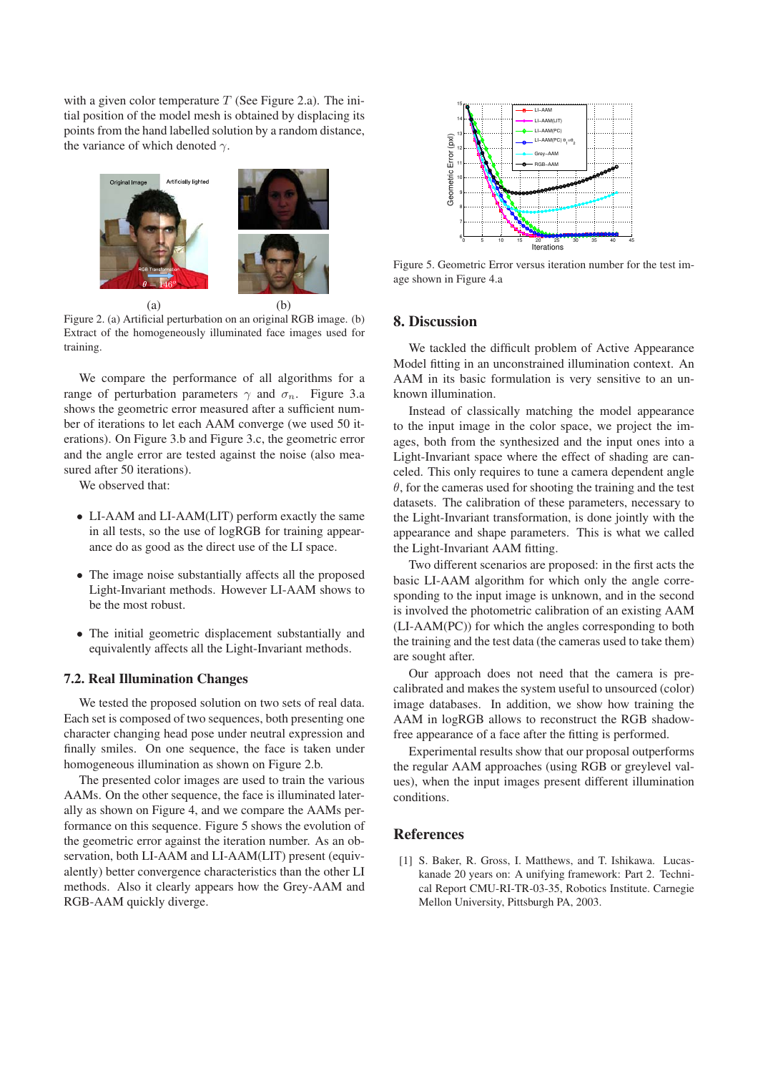with a given color temperature  $T$  (See Figure 2.a). The initial position of the model mesh is obtained by displacing its points from the hand labelled solution by a random distance, the variance of which denoted  $\gamma$ .



Figure 2. (a) Artificial perturbation on an original RGB image. (b) Extract of the homogeneously illuminated face images used for training.

We compare the performance of all algorithms for a range of perturbation parameters  $\gamma$  and  $\sigma_n$ . Figure 3.a shows the geometric error measured after a sufficient number of iterations to let each AAM converge (we used 50 iterations). On Figure 3.b and Figure 3.c, the geometric error and the angle error are tested against the noise (also measured after 50 iterations).

We observed that:

- LI-AAM and LI-AAM(LIT) perform exactly the same in all tests, so the use of logRGB for training appearance do as good as the direct use of the LI space.
- The image noise substantially affects all the proposed Light-Invariant methods. However LI-AAM shows to be the most robust.
- The initial geometric displacement substantially and equivalently affects all the Light-Invariant methods.

# **7.2. Real Illumination Changes**

We tested the proposed solution on two sets of real data. Each set is composed of two sequences, both presenting one character changing head pose under neutral expression and finally smiles. On one sequence, the face is taken under homogeneous illumination as shown on Figure 2.b.

The presented color images are used to train the various AAMs. On the other sequence, the face is illuminated laterally as shown on Figure 4, and we compare the AAMs performance on this sequence. Figure 5 shows the evolution of the geometric error against the iteration number. As an observation, both LI-AAM and LI-AAM(LIT) present (equivalently) better convergence characteristics than the other LI methods. Also it clearly appears how the Grey-AAM and RGB-AAM quickly diverge.



Figure 5. Geometric Error versus iteration number for the test image shown in Figure 4.a

### **8. Discussion**

We tackled the difficult problem of Active Appearance Model fitting in an unconstrained illumination context. An AAM in its basic formulation is very sensitive to an unknown illumination.

Instead of classically matching the model appearance to the input image in the color space, we project the images, both from the synthesized and the input ones into a Light-Invariant space where the effect of shading are canceled. This only requires to tune a camera dependent angle  $\theta$ , for the cameras used for shooting the training and the test datasets. The calibration of these parameters, necessary to the Light-Invariant transformation, is done jointly with the appearance and shape parameters. This is what we called the Light-Invariant AAM fitting.

Two different scenarios are proposed: in the first acts the basic LI-AAM algorithm for which only the angle corresponding to the input image is unknown, and in the second is involved the photometric calibration of an existing AAM (LI-AAM(PC)) for which the angles corresponding to both the training and the test data (the cameras used to take them) are sought after.

Our approach does not need that the camera is precalibrated and makes the system useful to unsourced (color) image databases. In addition, we show how training the AAM in logRGB allows to reconstruct the RGB shadowfree appearance of a face after the fitting is performed.

Experimental results show that our proposal outperforms the regular AAM approaches (using RGB or greylevel values), when the input images present different illumination conditions.

# **References**

[1] S. Baker, R. Gross, I. Matthews, and T. Ishikawa. Lucaskanade 20 years on: A unifying framework: Part 2. Technical Report CMU-RI-TR-03-35, Robotics Institute. Carnegie Mellon University, Pittsburgh PA, 2003.